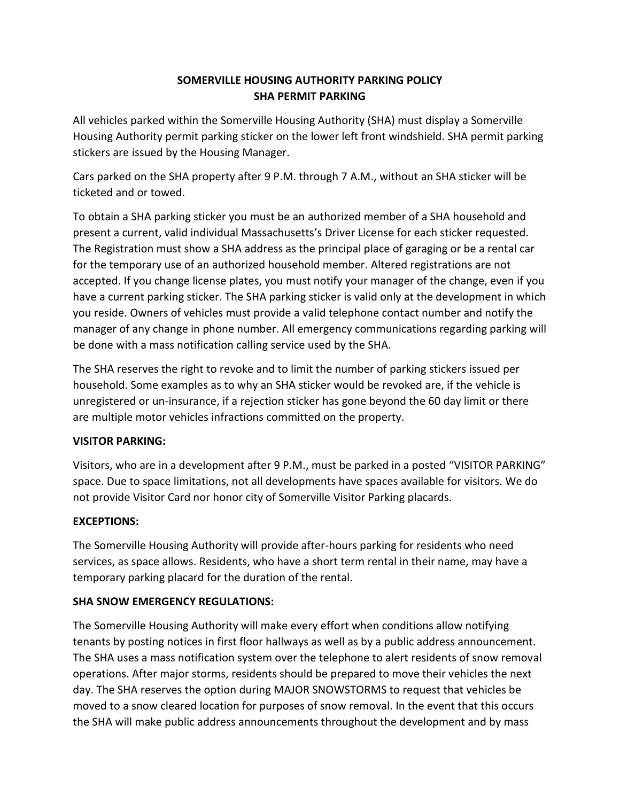# **SOMERVILLE HOUSING AUTHORITY PARKING POLICY SHA PERMIT PARKING**

All vehicles parked within the Somerville Housing Authority (SHA) must display a Somerville Housing Authority permit parking sticker on the lower left front windshield. SHA permit parking stickers are issued by the Housing Manager.

Cars parked on the SHA property after 9 P.M. through 7 A.M., without an SHA sticker will be ticketed and or towed.

To obtain a SHA parking sticker you must be an authorized member of a SHA household and present a current, valid individual Massachusetts's Driver License for each sticker requested. The Registration must show a SHA address as the principal place of garaging or be a rental car for the temporary use of an authorized household member. Altered registrations are not accepted. If you change license plates, you must notify your manager of the change, even if you have a current parking sticker. The SHA parking sticker is valid only at the development in which you reside. Owners of vehicles must provide a valid telephone contact number and notify the manager of any change in phone number. All emergency communications regarding parking will be done with a mass notification calling service used by the SHA.

The SHA reserves the right to revoke and to limit the number of parking stickers issued per household. Some examples as to why an SHA sticker would be revoked are, if the vehicle is unregistered or un-insurance, if a rejection sticker has gone beyond the 60 day limit or there are multiple motor vehicles infractions committed on the property.

## **VISITOR PARKING:**

Visitors, who are in a development after 9 P.M., must be parked in a posted "VISITOR PARKING" space. Due to space limitations, not all developments have spaces available for visitors. We do not provide Visitor Card nor honor city of Somerville Visitor Parking placards.

## **EXCEPTIONS:**

The Somerville Housing Authority will provide after-hours parking for residents who need services, as space allows. Residents, who have a short term rental in their name, may have a temporary parking placard for the duration of the rental.

## **SHA SNOW EMERGENCY REGULATIONS:**

The Somerville Housing Authority will make every effort when conditions allow notifying tenants by posting notices in first floor hallways as well as by a public address announcement. The SHA uses a mass notification system over the telephone to alert residents of snow removal operations. After major storms, residents should be prepared to move their vehicles the next day. The SHA reserves the option during MAJOR SNOWSTORMS to request that vehicles be moved to a snow cleared location for purposes of snow removal. In the event that this occurs the SHA will make public address announcements throughout the development and by mass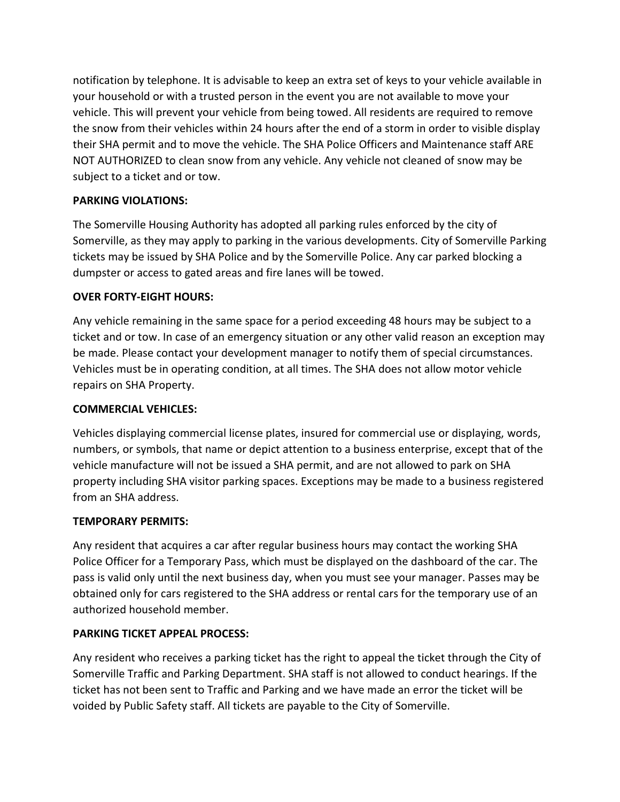notification by telephone. It is advisable to keep an extra set of keys to your vehicle available in your household or with a trusted person in the event you are not available to move your vehicle. This will prevent your vehicle from being towed. All residents are required to remove the snow from their vehicles within 24 hours after the end of a storm in order to visible display their SHA permit and to move the vehicle. The SHA Police Officers and Maintenance staff ARE NOT AUTHORIZED to clean snow from any vehicle. Any vehicle not cleaned of snow may be subject to a ticket and or tow.

## **PARKING VIOLATIONS:**

The Somerville Housing Authority has adopted all parking rules enforced by the city of Somerville, as they may apply to parking in the various developments. City of Somerville Parking tickets may be issued by SHA Police and by the Somerville Police. Any car parked blocking a dumpster or access to gated areas and fire lanes will be towed.

## **OVER FORTY-EIGHT HOURS:**

Any vehicle remaining in the same space for a period exceeding 48 hours may be subject to a ticket and or tow. In case of an emergency situation or any other valid reason an exception may be made. Please contact your development manager to notify them of special circumstances. Vehicles must be in operating condition, at all times. The SHA does not allow motor vehicle repairs on SHA Property.

## **COMMERCIAL VEHICLES:**

Vehicles displaying commercial license plates, insured for commercial use or displaying, words, numbers, or symbols, that name or depict attention to a business enterprise, except that of the vehicle manufacture will not be issued a SHA permit, and are not allowed to park on SHA property including SHA visitor parking spaces. Exceptions may be made to a business registered from an SHA address.

## **TEMPORARY PERMITS:**

Any resident that acquires a car after regular business hours may contact the working SHA Police Officer for a Temporary Pass, which must be displayed on the dashboard of the car. The pass is valid only until the next business day, when you must see your manager. Passes may be obtained only for cars registered to the SHA address or rental cars for the temporary use of an authorized household member.

## **PARKING TICKET APPEAL PROCESS:**

Any resident who receives a parking ticket has the right to appeal the ticket through the City of Somerville Traffic and Parking Department. SHA staff is not allowed to conduct hearings. If the ticket has not been sent to Traffic and Parking and we have made an error the ticket will be voided by Public Safety staff. All tickets are payable to the City of Somerville.